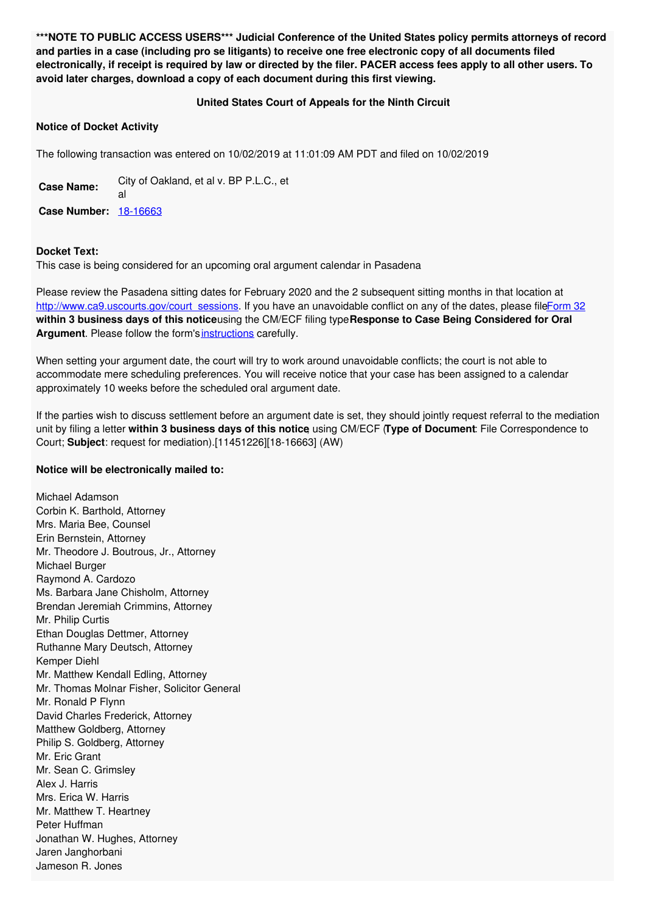**\*\*\*NOTE TO PUBLIC ACCESS USERS\*\*\* Judicial Conference of the United States policy permits attorneys of record** and parties in a case (including pro se litigants) to receive one free electronic copy of all documents filed electronically, if receipt is required by law or directed by the filer. PACER access fees apply to all other users. To **avoid later charges, download a copy of each document during this first viewing.**

## **United States Court of Appeals for the Ninth Circuit**

## **Notice of Docket Activity**

The following transaction was entered on 10/02/2019 at 11:01:09 AM PDT and filed on 10/02/2019

**Case Name:** City of Oakland, et al v. BP P.L.C., et al **Case Number:** [18-16663](https://ecf.ca9.uscourts.gov/n/beam/servlet/TransportRoom?servlet=DocketReportFilter.jsp&caseId=304946)

## **Docket Text:**

This case is being considered for an upcoming oral argument calendar in Pasadena

Please review the Pasadena sitting dates for February 2020 and the 2 subsequent sitting months in that location at [http://www.ca9.uscourts.gov/court\\_sessions](http://www.ca9.uscourts.gov/court_sessions). If you have an unavoidable conflict on any of the dates, please fil[eForm](http://www.ca9.uscourts.gov/forms/form32.pdf) 32 **within 3 business days of this notice**using the CM/ECF filing type**Response to Case Being Considered for Oral** Argument. Please follow the form's [instructions](http://www.ca9.uscourts.gov/forms/form32instructions.pdf) carefully.

When setting your argument date, the court will try to work around unavoidable conflicts; the court is not able to accommodate mere scheduling preferences. You will receive notice that your case has been assigned to a calendar approximately 10 weeks before the scheduled oral argument date.

If the parties wish to discuss settlement before an argument date is set, they should jointly request referral to the mediation unit by filing a letter **within 3 business days of this notice**, using CM/ECF (**Type of Document**: File Correspondence to Court; **Subject**: request for mediation).[11451226][18-16663] (AW)

## **Notice will be electronically mailed to:**

Michael Adamson Corbin K. Barthold, Attorney Mrs. Maria Bee, Counsel Erin Bernstein, Attorney Mr. Theodore J. Boutrous, Jr., Attorney Michael Burger Raymond A. Cardozo Ms. Barbara Jane Chisholm, Attorney Brendan Jeremiah Crimmins, Attorney Mr. Philip Curtis Ethan Douglas Dettmer, Attorney Ruthanne Mary Deutsch, Attorney Kemper Diehl Mr. Matthew Kendall Edling, Attorney Mr. Thomas Molnar Fisher, Solicitor General Mr. Ronald P Flynn David Charles Frederick, Attorney Matthew Goldberg, Attorney Philip S. Goldberg, Attorney Mr. Eric Grant Mr. Sean C. Grimsley Alex J. Harris Mrs. Erica W. Harris Mr. Matthew T. Heartney Peter Huffman Jonathan W. Hughes, Attorney Jaren Janghorbani Jameson R. Jones